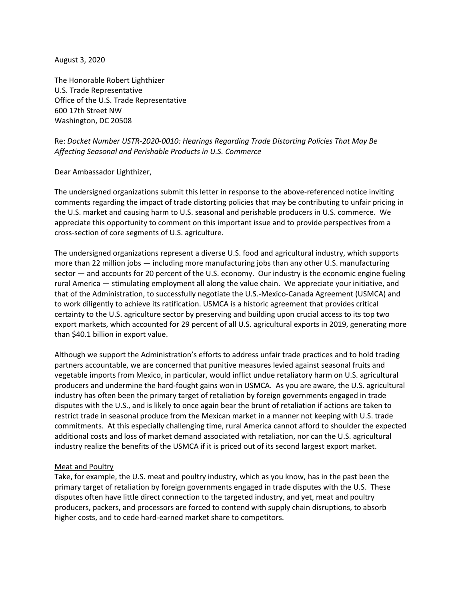August 3, 2020

The Honorable Robert Lighthizer U.S. Trade Representative Office of the U.S. Trade Representative 600 17th Street NW Washington, DC 20508

# Re: *Docket Number USTR-2020-0010: Hearings Regarding Trade Distorting Policies That May Be Affecting Seasonal and Perishable Products in U.S. Commerce*

Dear Ambassador Lighthizer,

The undersigned organizations submit this letter in response to the above-referenced notice inviting comments regarding the impact of trade distorting policies that may be contributing to unfair pricing in the U.S. market and causing harm to U.S. seasonal and perishable producers in U.S. commerce. We appreciate this opportunity to comment on this important issue and to provide perspectives from a cross-section of core segments of U.S. agriculture.

The undersigned organizations represent a diverse U.S. food and agricultural industry, which supports more than 22 million jobs — including more manufacturing jobs than any other U.S. manufacturing sector — and accounts for 20 percent of the U.S. economy. Our industry is the economic engine fueling rural America — stimulating employment all along the value chain. We appreciate your initiative, and that of the Administration, to successfully negotiate the U.S.-Mexico-Canada Agreement (USMCA) and to work diligently to achieve its ratification. USMCA is a historic agreement that provides critical certainty to the U.S. agriculture sector by preserving and building upon crucial access to its top two export markets, which accounted for 29 percent of all U.S. agricultural exports in 2019, generating more than \$40.1 billion in export value.

Although we support the Administration's efforts to address unfair trade practices and to hold trading partners accountable, we are concerned that punitive measures levied against seasonal fruits and vegetable imports from Mexico, in particular, would inflict undue retaliatory harm on U.S. agricultural producers and undermine the hard-fought gains won in USMCA. As you are aware, the U.S. agricultural industry has often been the primary target of retaliation by foreign governments engaged in trade disputes with the U.S., and is likely to once again bear the brunt of retaliation if actions are taken to restrict trade in seasonal produce from the Mexican market in a manner not keeping with U.S. trade commitments. At this especially challenging time, rural America cannot afford to shoulder the expected additional costs and loss of market demand associated with retaliation, nor can the U.S. agricultural industry realize the benefits of the USMCA if it is priced out of its second largest export market.

### Meat and Poultry

Take, for example, the U.S. meat and poultry industry, which as you know, has in the past been the primary target of retaliation by foreign governments engaged in trade disputes with the U.S. These disputes often have little direct connection to the targeted industry, and yet, meat and poultry producers, packers, and processors are forced to contend with supply chain disruptions, to absorb higher costs, and to cede hard-earned market share to competitors.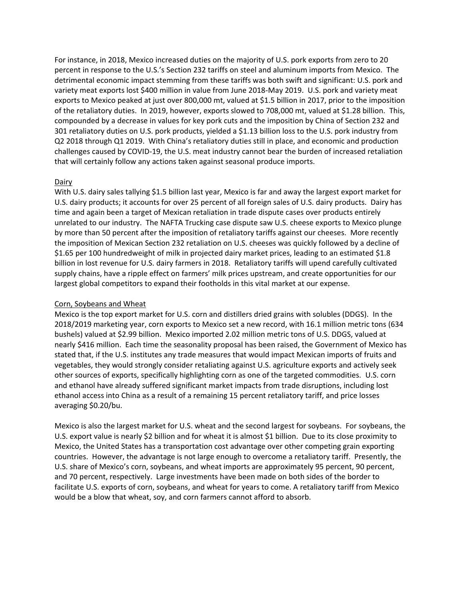For instance, in 2018, Mexico increased duties on the majority of U.S. pork exports from zero to 20 percent in response to the U.S.'s Section 232 tariffs on steel and aluminum imports from Mexico. The detrimental economic impact stemming from these tariffs was both swift and significant: U.S. pork and variety meat exports lost \$400 million in value from June 2018-May 2019. U.S. pork and variety meat exports to Mexico peaked at just over 800,000 mt, valued at \$1.5 billion in 2017, prior to the imposition of the retaliatory duties. In 2019, however, exports slowed to 708,000 mt, valued at \$1.28 billion. This, compounded by a decrease in values for key pork cuts and the imposition by China of Section 232 and 301 retaliatory duties on U.S. pork products, yielded a \$1.13 billion loss to the U.S. pork industry from Q2 2018 through Q1 2019. With China's retaliatory duties still in place, and economic and production challenges caused by COVID-19, the U.S. meat industry cannot bear the burden of increased retaliation that will certainly follow any actions taken against seasonal produce imports.

## Dairy

With U.S. dairy sales tallying \$1.5 billion last year, Mexico is far and away the largest export market for U.S. dairy products; it accounts for over 25 percent of all foreign sales of U.S. dairy products. Dairy has time and again been a target of Mexican retaliation in trade dispute cases over products entirely unrelated to our industry. The NAFTA Trucking case dispute saw U.S. cheese exports to Mexico plunge by more than 50 percent after the imposition of retaliatory tariffs against our cheeses. More recently the imposition of Mexican Section 232 retaliation on U.S. cheeses was quickly followed by a decline of \$1.65 per 100 hundredweight of milk in projected dairy market prices, leading to an estimated \$1.8 billion in lost revenue for U.S. dairy farmers in 2018. Retaliatory tariffs will upend carefully cultivated supply chains, have a ripple effect on farmers' milk prices upstream, and create opportunities for our largest global competitors to expand their footholds in this vital market at our expense.

## Corn, Soybeans and Wheat

Mexico is the top export market for U.S. corn and distillers dried grains with solubles (DDGS). In the 2018/2019 marketing year, corn exports to Mexico set a new record, with 16.1 million metric tons (634 bushels) valued at \$2.99 billion. Mexico imported 2.02 million metric tons of U.S. DDGS, valued at nearly \$416 million. Each time the seasonality proposal has been raised, the Government of Mexico has stated that, if the U.S. institutes any trade measures that would impact Mexican imports of fruits and vegetables, they would strongly consider retaliating against U.S. agriculture exports and actively seek other sources of exports, specifically highlighting corn as one of the targeted commodities. U.S. corn and ethanol have already suffered significant market impacts from trade disruptions, including lost ethanol access into China as a result of a remaining 15 percent retaliatory tariff, and price losses averaging \$0.20/bu.

Mexico is also the largest market for U.S. wheat and the second largest for soybeans. For soybeans, the U.S. export value is nearly \$2 billion and for wheat it is almost \$1 billion. Due to its close proximity to Mexico, the United States has a transportation cost advantage over other competing grain exporting countries. However, the advantage is not large enough to overcome a retaliatory tariff. Presently, the U.S. share of Mexico's corn, soybeans, and wheat imports are approximately 95 percent, 90 percent, and 70 percent, respectively. Large investments have been made on both sides of the border to facilitate U.S. exports of corn, soybeans, and wheat for years to come. A retaliatory tariff from Mexico would be a blow that wheat, soy, and corn farmers cannot afford to absorb.